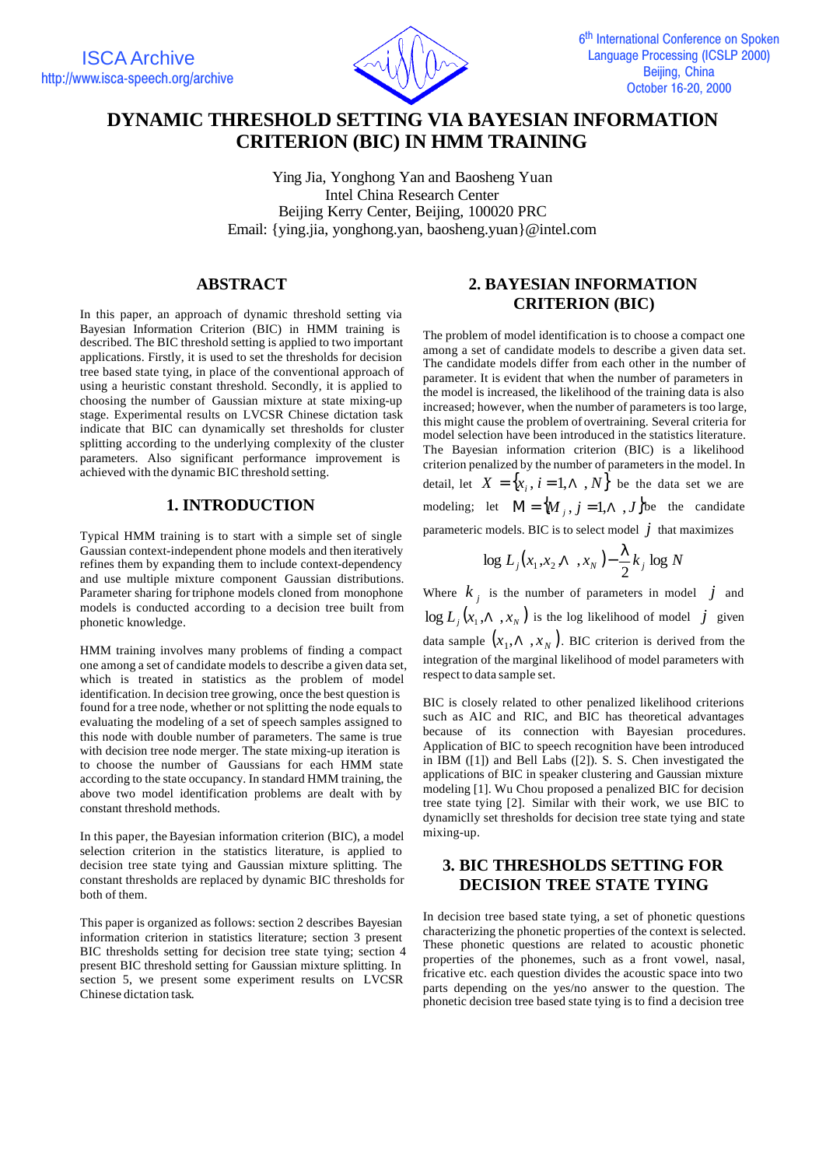

# **DYNAMIC THRESHOLD SETTING VIA BAYESIAN INFORMATION CRITERION (BIC) IN HMM TRAINING**

Ying Jia, Yonghong Yan and Baosheng Yuan Intel China Research Center Beijing Kerry Center, Beijing, 100020 PRC Email: {ying.jia, yonghong.yan, baosheng.yuan}@intel.com

## **ABSTRACT**

In this paper, an approach of dynamic threshold setting via Bayesian Information Criterion (BIC) in HMM training is described. The BIC threshold setting is applied to two important applications. Firstly, it is used to set the thresholds for decision tree based state tying, in place of the conventional approach of using a heuristic constant threshold. Secondly, it is applied to choosing the number of Gaussian mixture at state mixing-up stage. Experimental results on LVCSR Chinese dictation task indicate that BIC can dynamically set thresholds for cluster splitting according to the underlying complexity of the cluster parameters. Also significant performance improvement is achieved with the dynamic BIC threshold setting.

#### **1. INTRODUCTION**

Typical HMM training is to start with a simple set of single Gaussian context-independent phone models and then iteratively refines them by expanding them to include context-dependency and use multiple mixture component Gaussian distributions. Parameter sharing for triphone models cloned from monophone models is conducted according to a decision tree built from phonetic knowledge.

HMM training involves many problems of finding a compact one among a set of candidate models to describe a given data set, which is treated in statistics as the problem of model identification. In decision tree growing, once the best question is found for a tree node, whether or not splitting the node equals to evaluating the modeling of a set of speech samples assigned to this node with double number of parameters. The same is true with decision tree node merger. The state mixing-up iteration is to choose the number of Gaussians for each HMM state according to the state occupancy. In standard HMM training, the above two model identification problems are dealt with by constant threshold methods.

In this paper, the Bayesian information criterion (BIC), a model selection criterion in the statistics literature, is applied to decision tree state tying and Gaussian mixture splitting. The constant thresholds are replaced by dynamic BIC thresholds for both of them.

This paper is organized as follows: section 2 describes Bayesian information criterion in statistics literature; section 3 present BIC thresholds setting for decision tree state tying; section 4 present BIC threshold setting for Gaussian mixture splitting. In section 5, we present some experiment results on LVCSR Chinese dictation task.

## **2. BAYESIAN INFORMATION CRITERION (BIC)**

The problem of model identification is to choose a compact one among a set of candidate models to describe a given data set. The candidate models differ from each other in the number of parameter. It is evident that when the number of parameters in the model is increased, the likelihood of the training data is also increased; however, when the number of parameters is too large, this might cause the problem of overtraining. Several criteria for model selection have been introduced in the statistics literature. The Bayesian information criterion (BIC) is a likelihood criterion penalized by the number of parameters in the model. In detail, let  $X = \{x_i, i = 1, \Lambda, N\}$  be the data set we are modeling; let  $\mathbf{M} = \{ M_j, j = 1, \Lambda, J \}$ be the candidate parameteric models. BIC is to select model  $j$  that maximizes

$$
\log L_j(x_1, x_2, \Lambda, x_N) - \frac{1}{2}k_j \log N
$$

Where  $k_j$  is the number of parameters in model  $j$  and  $\log L_j(x_1, \Lambda, x_N)$  is the log likelihood of model  $j$  given data sample  $(x_1, \Lambda_1, x_N)$ . BIC criterion is derived from the integration of the marginal likelihood of model parameters with respect to data sample set.

BIC is closely related to other penalized likelihood criterions such as AIC and RIC, and BIC has theoretical advantages because of its connection with Bayesian procedures. Application of BIC to speech recognition have been introduced in IBM ([1]) and Bell Labs ([2]). S. S. Chen investigated the applications of BIC in speaker clustering and Gaussian mixture modeling [1]. Wu Chou proposed a penalized BIC for decision tree state tying [2]. Similar with their work, we use BIC to dynamiclly set thresholds for decision tree state tying and state mixing-up.

## **3. BIC THRESHOLDS SETTING FOR DECISION TREE STATE TYING**

In decision tree based state tying, a set of phonetic questions characterizing the phonetic properties of the context is selected. These phonetic questions are related to acoustic phonetic properties of the phonemes, such as a front vowel, nasal, fricative etc. each question divides the acoustic space into two parts depending on the yes/no answer to the question. The phonetic decision tree based state tying is to find a decision tree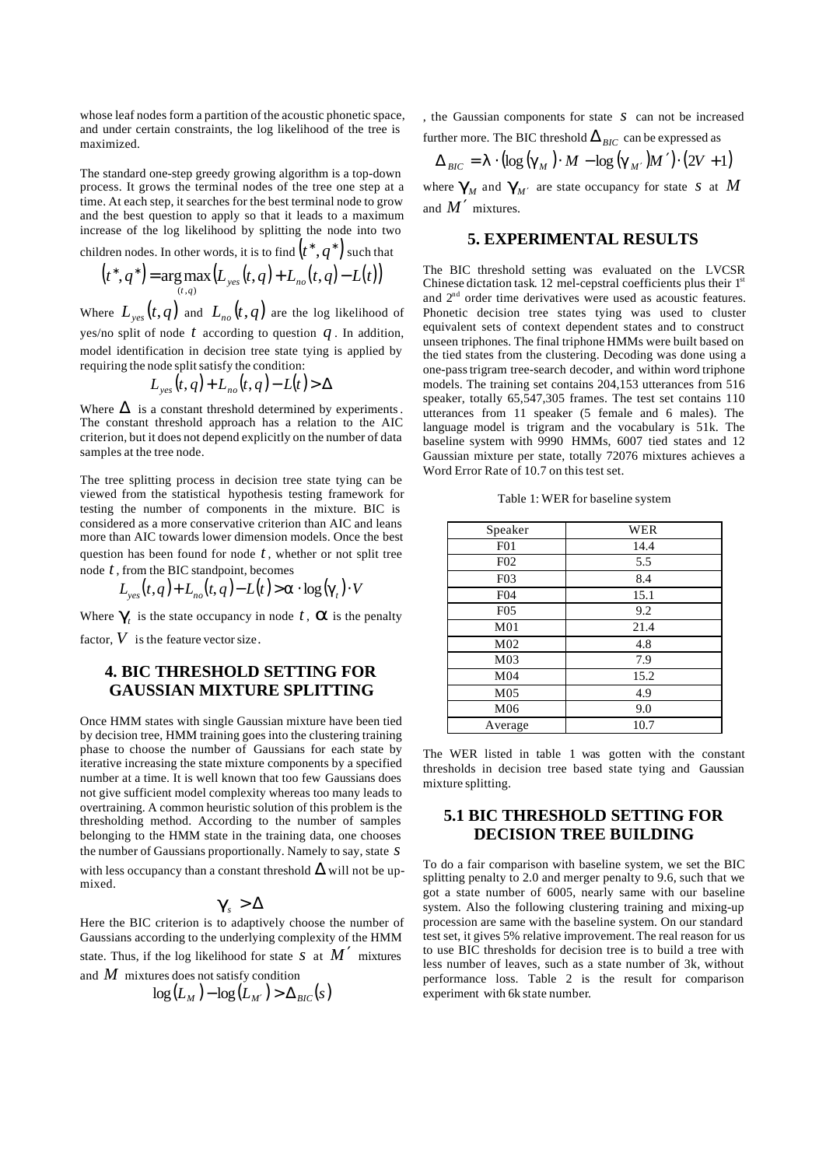whose leaf nodes form a partition of the acoustic phonetic space, and under certain constraints, the log likelihood of the tree is maximized.

The standard one-step greedy growing algorithm is a top-down process. It grows the terminal nodes of the tree one step at a time. At each step, it searches for the best terminal node to grow and the best question to apply so that it leads to a maximum increase of the log likelihood by splitting the node into two

children nodes. In other words, it is to find  $\left(t^{*},q^{*}\right)$  such that

$$
(t^*, q^*) = \arg \max_{(t,q)} (L_{yes}(t,q) + L_{no}(t,q) - L(t))
$$

Where  $L_{\tiny yes}(t,q)$  and  $L_{\tiny no}(t,q)$  are the log likelihood of yes/no split of node  $t$  according to question  $q$ . In addition, model identification in decision tree state tying is applied by requiring the node split satisfy the condition:

$$
L_{yes}(t,q) + L_{no}(t,q) - L(t) > \Delta
$$

Where  $\Delta$  is a constant threshold determined by experiments. The constant threshold approach has a relation to the AIC criterion, but it does not depend explicitly on the number of data samples at the tree node.

The tree splitting process in decision tree state tying can be viewed from the statistical hypothesis testing framework for testing the number of components in the mixture. BIC is considered as a more conservative criterion than AIC and leans more than AIC towards lower dimension models. Once the best question has been found for node *t* , whether or not split tree node *t* , from the BIC standpoint, becomes

$$
L_{\text{yes}}(t,q) + L_{\text{no}}(t,q) - L(t) > \mathbf{a} \cdot \log(\mathbf{g}_t) \cdot V
$$

Where  $g_i$  is the state occupancy in node *t*, **a** is the penalty factor,  $V$  is the feature vector size.

### **4. BIC THRESHOLD SETTING FOR GAUSSIAN MIXTURE SPLITTING**

Once HMM states with single Gaussian mixture have been tied by decision tree, HMM training goes into the clustering training phase to choose the number of Gaussians for each state by iterative increasing the state mixture components by a specified number at a time. It is well known that too few Gaussians does not give sufficient model complexity whereas too many leads to overtraining. A common heuristic solution of this problem is the thresholding method. According to the number of samples belonging to the HMM state in the training data, one chooses the number of Gaussians proportionally. Namely to say, state *s* with less occupancy than a constant threshold  $\Delta$  will not be upmixed.

$$
\boldsymbol{g}_s > \Delta
$$

Here the BIC criterion is to adaptively choose the number of Gaussians according to the underlying complexity of the HMM state. Thus, if the log likelihood for state  $S$  at  $M'$  mixtures

and *M* mixtures does not satisfy condition

$$
\log(L_M) - \log(L_{M'}) > \Delta_{BIC}(s)
$$

, the Gaussian components for state *s* can not be increased further more. The BIC threshold  $\Delta_{BIC}$  can be expressed as

$$
\Delta_{\text{BIC}} = \mathbf{I} \cdot (\log(\mathbf{g}_{\text{M}}) \cdot \mathbf{M} - \log(\mathbf{g}_{\text{M'}})\mathbf{M'}) \cdot (2V + 1)
$$

where  $g_{\scriptscriptstyle M}$  and  $g_{\scriptscriptstyle M'}$  are state occupancy for state  $\,$  at  $\,$  *M* and  $M'$  mixtures.

#### **5. EXPERIMENTAL RESULTS**

The BIC threshold setting was evaluated on the LVCSR Chinese dictation task. 12 mel-cepstral coefficients plus their  $1<sup>st</sup>$ and 2nd order time derivatives were used as acoustic features. Phonetic decision tree states tying was used to cluster equivalent sets of context dependent states and to construct unseen triphones. The final triphone HMMs were built based on the tied states from the clustering. Decoding was done using a one-pass trigram tree-search decoder, and within word triphone models. The training set contains 204,153 utterances from 516 speaker, totally 65,547,305 frames. The test set contains 110 utterances from 11 speaker (5 female and 6 males). The language model is trigram and the vocabulary is 51k. The baseline system with 9990 HMMs, 6007 tied states and 12 Gaussian mixture per state, totally 72076 mixtures achieves a Word Error Rate of 10.7 on this test set.

| Speaker          | WER  |
|------------------|------|
| F <sub>0</sub> 1 | 14.4 |
| F <sub>02</sub>  | 5.5  |
| F <sub>0</sub> 3 | 8.4  |
| F04              | 15.1 |
| F <sub>05</sub>  | 9.2  |
| M <sub>01</sub>  | 21.4 |
| M <sub>02</sub>  | 4.8  |
| M <sub>03</sub>  | 7.9  |
| M <sub>04</sub>  | 15.2 |
| M <sub>05</sub>  | 4.9  |
| M06              | 9.0  |
| Average          | 10.7 |

Table 1: WER for baseline system

The WER listed in table 1 was gotten with the constant thresholds in decision tree based state tying and Gaussian mixture splitting.

## **5.1 BIC THRESHOLD SETTING FOR DECISION TREE BUILDING**

To do a fair comparison with baseline system, we set the BIC splitting penalty to 2.0 and merger penalty to 9.6, such that we got a state number of 6005, nearly same with our baseline system. Also the following clustering training and mixing-up procession are same with the baseline system. On our standard test set, it gives 5% relative improvement. The real reason for us to use BIC thresholds for decision tree is to build a tree with less number of leaves, such as a state number of 3k, without performance loss. Table 2 is the result for comparison experiment with 6k state number.